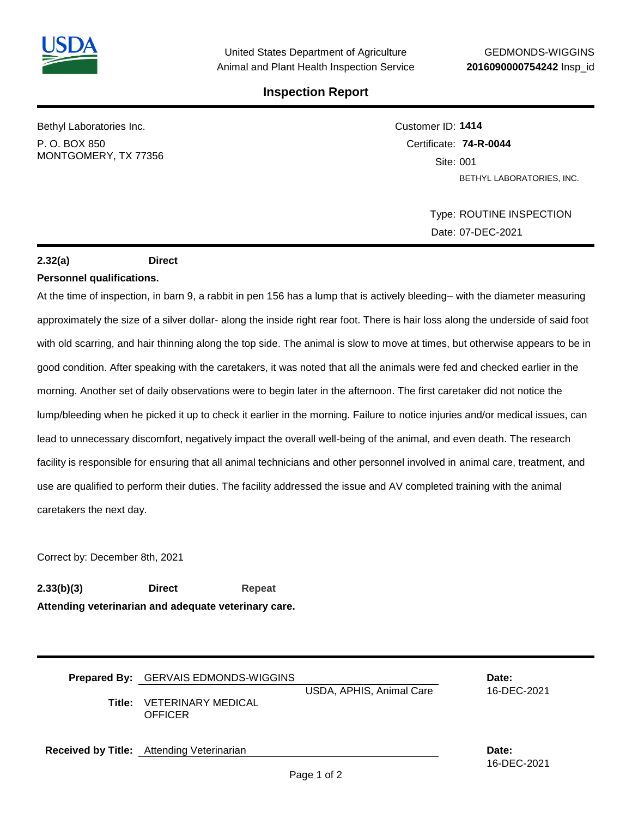

## **Inspection Report**

Bethyl Laboratories Inc.

P. O. BOX 850 MONTGOMERY, TX 77356 Customer ID: **1414** Certificate: **74-R-0044**  Site: 001 BETHYL LABORATORIES, INC.

> Type: ROUTINE INSPECTION Date: 07-DEC-2021

> > 16-DEC-2021

# **2.32(a) Direct**

#### **Personnel qualifications.**

At the time of inspection, in barn 9, a rabbit in pen 156 has a lump that is actively bleeding– with the diameter measuring approximately the size of a silver dollar- along the inside right rear foot. There is hair loss along the underside of said foot with old scarring, and hair thinning along the top side. The animal is slow to move at times, but otherwise appears to be in good condition. After speaking with the caretakers, it was noted that all the animals were fed and checked earlier in the morning. Another set of daily observations were to begin later in the afternoon. The first caretaker did not notice the lump/bleeding when he picked it up to check it earlier in the morning. Failure to notice injuries and/or medical issues, can lead to unnecessary discomfort, negatively impact the overall well-being of the animal, and even death. The research facility is responsible for ensuring that all animal technicians and other personnel involved in animal care, treatment, and use are qualified to perform their duties. The facility addressed the issue and AV completed training with the animal caretakers the next day.

Correct by: December 8th, 2021

**2.33(b)(3) Direct Repeat Attending veterinarian and adequate veterinary care.**

| Prepared By: GERVAIS EDMONDS-WIGGINS<br><b>Title: VETERINARY MEDICAL</b><br><b>OFFICER</b> | USDA, APHIS, Animal Care | Date:<br>16-DEC-2021 |
|--------------------------------------------------------------------------------------------|--------------------------|----------------------|
| Received by Title: Attending Veterinarian                                                  |                          | Date:                |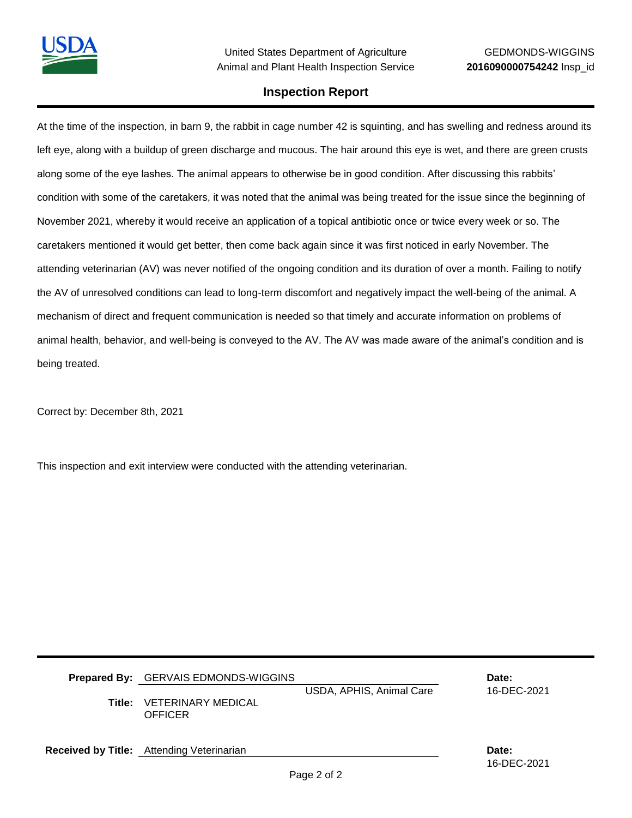

## **Inspection Report**

At the time of the inspection, in barn 9, the rabbit in cage number 42 is squinting, and has swelling and redness around its left eye, along with a buildup of green discharge and mucous. The hair around this eye is wet, and there are green crusts along some of the eye lashes. The animal appears to otherwise be in good condition. After discussing this rabbits' condition with some of the caretakers, it was noted that the animal was being treated for the issue since the beginning of November 2021, whereby it would receive an application of a topical antibiotic once or twice every week or so. The caretakers mentioned it would get better, then come back again since it was first noticed in early November. The attending veterinarian (AV) was never notified of the ongoing condition and its duration of over a month. Failing to notify the AV of unresolved conditions can lead to long-term discomfort and negatively impact the well-being of the animal. A mechanism of direct and frequent communication is needed so that timely and accurate information on problems of animal health, behavior, and well-being is conveyed to the AV. The AV was made aware of the animal's condition and is being treated.

Correct by: December 8th, 2021

This inspection and exit interview were conducted with the attending veterinarian.

| Title: | <b>Prepared By:</b> GERVAIS EDMONDS-WIGGINS<br><b>VETERINARY MEDICAL</b><br>OFFICER | USDA, APHIS, Animal Care | Date:<br>16-DEC-2021 |
|--------|-------------------------------------------------------------------------------------|--------------------------|----------------------|
|        | Received by Title: Attending Veterinarian                                           |                          | Date:                |